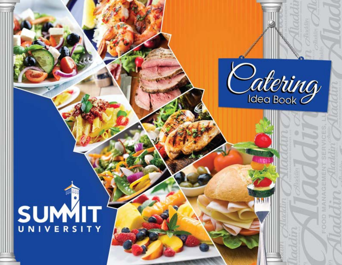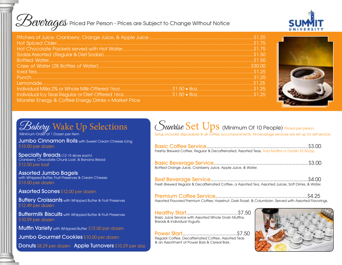<u>Beverages</u>

| $\triangle$ PWPTAGES) Priced Per Person - Prices are Subject to Change Without Notice |  |
|---------------------------------------------------------------------------------------|--|
|                                                                                       |  |
|                                                                                       |  |
|                                                                                       |  |
|                                                                                       |  |

| Monster Energy & Coffee Energy Drinks = Market Price |  |
|------------------------------------------------------|--|



# *C Bakety* Wake Up Selections

Jumbo Cinnamon Rolls with Sweet Cream Cheese Icina \$15.00 per dozen

**Specialty Breads** (12-15 slices each) Cranberry, Chocolate Chunk Loaf, & Banana Bread \$12.00 per loaf

Assorted Jumbo Bagels with Whipped Butter, Fruit Preserves & Cream Cheese \$13.00 per dozen

Assorted Scones \$12.00 per dozen

**Buttery Croissants** with Whipped Butter & Fruit Preserves \$12.49 per dozen

**Buttermilk Biscuits** with Whipped Butter & Fruit Preserves \$10.59 per dozen

**Muffin Variety** with Whipped Butter \$12.00 per dozen

Jumbo Gourmet Cookies \$10.00 per dozen

Donuts \$8.29 per dozen Apple Turnovers \$10.29 per doz.

# (Suntise Set Ups (Minimum Of 10 People) Priced per person.

Setup includes disposables & all coffee accompaniments. All beverage services are set up for self service.

| Freshly Brewed Coffee, Regular & Decaffeinated, Assorted Teas. Add Muffins or Danish \$2.50/pp.       |  |
|-------------------------------------------------------------------------------------------------------|--|
| Bottled Orange Juice, Cranberry Juice, Apple Juice, & Water.                                          |  |
| Fresh Brewed Regular & Decaffeinated Coffee, a Assorted Tea, Assorted Juices, Soft Drinks, & Water.   |  |
| Assorted Flavored Premium Coffee; Hazelnut, Dark Roast, & Columbian. Served with Assorted Flavorings. |  |

Healthy Start....................................\$7.50 Basic Juice Service with Assorted Whole Grain Muffins, Breads & Individual Yogurts.

Power Start......................................\$7.50 Regular Coffee, Decaffeinated Coffee, Assorted Teas & an Assortment of Power Bars & Cereal Bars.

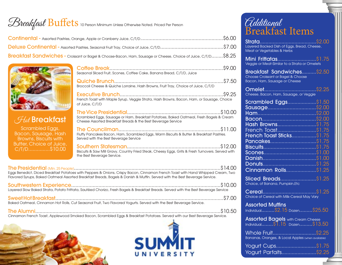# *Breakfast* Buffets 10 Person Minimum Unless Otherwise Noted. Priced Per Person

| Deluxe Continental - Assorted Pastries, Seasonal Fruit Tray, Choice of Juice, C/T/D………………………………………\$7.00       |  |
|----------------------------------------------------------------------------------------------------------------|--|
| Breakfast Sandwiches - Croissant or Bagel & Choose-Bacon, Ham, Sausage or Cheese, Choice of Juice, C/T/D\$8.25 |  |



| <b>Hat Breakfast</b>                                                                                                                                                                                                                 |
|--------------------------------------------------------------------------------------------------------------------------------------------------------------------------------------------------------------------------------------|
| $\Omega$ is a set of the set of $\Gamma$ is a set of the set of the set of the set of the set of the set of the set of the set of the set of the set of the set of the set of the set of the set of the set of the set of the set of |

|                                                                                                                               | Seasonal Sliced Fruit, Scones, Coffee Cake, Banana Bread, C/T/D, Juice                                                                                                                                                                                        |  |
|-------------------------------------------------------------------------------------------------------------------------------|---------------------------------------------------------------------------------------------------------------------------------------------------------------------------------------------------------------------------------------------------------------|--|
|                                                                                                                               | Broccoli Cheese & Quiche Lorraine, Hash Browns, Fruit Tray, Choice of Juice, C/T/D                                                                                                                                                                            |  |
|                                                                                                                               | French Toast with Maple Syrup, Veggie Strata, Hash Browns, Bacon, Ham, or Sausage, Choice<br>of Juice, C/T/D                                                                                                                                                  |  |
| <b><i>Ad</i></b> Breakfast                                                                                                    | Scrambled Eggs, Sausage or Ham, Breakfast Potatoes, Baked Oatmeal, Fresh Bagels & Cream<br>Cheese Assorted Breakfast Breads & the Best Beverage Service                                                                                                       |  |
| Scrambled Eggs,<br>Bacon, Sausage, Hash<br>Browns, Biscuits with                                                              | Fluffy Pancakes Bacon, Ham, Scrambled Eggs, Warm Biscuits & Butter & Breakfast Pastries.<br>Served with the Best Beverage Service                                                                                                                             |  |
| Butter, Choice of Juice,<br>C/T/D\$10.00                                                                                      | Biscuits & Saw Mill Gravy, Country Fried Steak, Cheesy Eggs, Grits & Fresh Turnovers. Served with<br>the Best Beverage Service.                                                                                                                               |  |
|                                                                                                                               | Eggs Benedict, Diced Breakfast Potatoes with Peppers & Onions, Crispy Bacon, Cinnamon French Toast with Hand Whipped Cream, Two<br>Flavored Syrups, Baked Oatmeal Assorted Breakfast Breads, Bagels & Danish & Muffin. Served with the Best Beverage Service. |  |
|                                                                                                                               | Layered Slow Baked Strata, Potato Frittata, Sautéed Chorizo, Fresh Bagels & Breakfast Breads. Served with the Best Beverage Service                                                                                                                           |  |
| \$7.00<br>Baked Oatmeal, Cinnamon Hot Rolls, Cut Seasonal Fruit, Two Flavored Yogurts. Served with the Best Beverage Service. |                                                                                                                                                                                                                                                               |  |

The Alumni.................................................................................................................................\$10.50 Cinnamon French Toast, Applewood Smoked Bacon, Scrambled Eggs & Breakfast Potatoes. Served with our Best Beverage Service.





## Additional Breakfast Items

| Layered Backed Dish of Eggs, Bread, Cheese,<br>Meat or Vegetables & Herbs                          |
|----------------------------------------------------------------------------------------------------|
| Mini Frittatas\$1.75<br>Veggie or Meat-Similar to a Strata or Omelets                              |
| Breakfast Sandwiches \$2.50<br>Choose Croissant or Bagel & Choose<br>Bacon, Ham, Sausage or Cheese |
|                                                                                                    |
| Scrambled Eggs\$1.50<br>Cinnamon Rolls\$1.25                                                       |
| Sliced Breads\$1.25<br>Choice, of Banana, Pumpkin, Etc.                                            |
| Choice of Cereal with Milk-Cereal May Vary                                                         |
| <b>Assorted Muffins</b><br>Individual\$2.15 Dozen\$25.50                                           |
| <b>Assorted Bagels</b> with Cream Cheese<br>Individual\$1.15 Dozen\$13.50                          |
| Whole Fruit\$2.25<br>Bananas, Oranges, & Local Apples (when available)                             |
| Yogurt Cups\$1.75<br>Yogurt Parfaits\$2.25                                                         |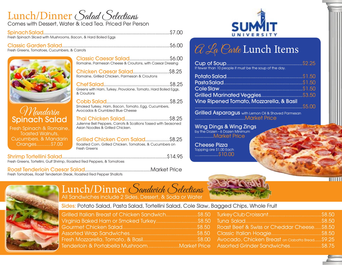# Lunch/Dinner Salad Selections

Comes with Dessert, Water & Iced Tea. Priced Per Person

Spinach Salad........................................................................................\$7.00 Fresh Spinach Sliced with Mushrooms, Bacon, & Hard Boiled Eggs

Classic Garden Salad...........................................................................\$6.00 Fresh Greens, Tomatoes, Cucumbers, & Carrots



Mandarin Spinach Salad

Fresh Spinach & Romaine, Toasted Walnuts, Cucumbers, & Mandarin Oranges...........\$7.00

Classic Caesar Salad............................\$6.00 Romaine, Parmesan Cheese & Croutons, with Caesar Dressing

Chicken Caesar Salad.........................\$8.25 Romaine, Grilled Chicken, Parmesan & Croutons

Chef Salad..............................................\$8.25 Greens with Ham, Turkey, Provolone, Tomato, Hard Boiled Eggs, & Croutons

Cobb Salad............................................\$8.25 Smoked Turkey, Ham, Bacon, Tomato, Egg, Cucumbers, Avocados & Crumbled Blue Cheese

Thai Chicken Salad...............................\$8.25 Julienne Bell Peppers, Carrots & Scallions Tossed with Seasoned Asian Noodles & Grilled Chicken.

Grilled Chicken Corn Salad.................\$8.25 Roasted Corn, Grilled Chicken, Tomatoes, & Cucumbers on Fresh Greens

Shrimp Tortellini Salad.........................................................................\$14.95 Fresh Greens, Tortellini, Gulf Shrimp, Roasted Red Peppers, & Tomatoes

Roast Tenderloin Caesar Salad..............................................Market Price Fresh Tomatoes, Roast Tenderloin Steak, Roasted Red Pepper Shallots



## Lunch/Dinner Sandwich Selections All Sandwiches include 2 Sides, Dessert, & Soda or Water

#### Sides: Potato Salad, Pasta Salad, Tortellini Salad, Cole Slaw, Bagged Chips, Whole Fruit

| Grilled Italian Breast of Chicken Sandwich\$8.50 |  |
|--------------------------------------------------|--|
| Virginia Baked Ham or Smoked Turkey\$8.50        |  |
|                                                  |  |
|                                                  |  |
|                                                  |  |
| Tenderloin & Portabella MushroomMarket Price     |  |





Cup of Soup.....................................................\$2.25 If fewer than 10 people it must be the soup of the day.

| Grilled Marinated Veggies\$3.50          |  |
|------------------------------------------|--|
| Vine Ripened Tomato, Mozzarella, & Basil |  |
|                                          |  |

**Grilled Asparagus** with Lemon Oil & Shaved Parmesan ...................................Market Price

Wing Dings & Wing Zings by the Dozen - 6 Dozen Minimum .............Market Price

Cheese Pizza Topping are \$1.00 Each ..................\$10.00



 $\overline{\mathbf{m}}$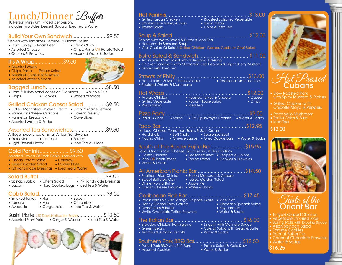# Lunch/Dinner *Buffets*

Includes Two Sides, Dessert, Soda or Iced Tea & Water.

#### Build Your Own Sandwich........................\$9.50

Served with Tomatoes, Lettuce, & Onions Pickles.

- Ham, Turkey, & Roast Beef Preads & Rolls<br>• Assorted Cheese Chips, Pasta C
- 
- 
- Assorted Cheese Chips, Pasta OR Potato Salad
	- Assorted Water & Sodas

#### It's A Wrap....................\$9.50

- Assorted Wraps
- $\bullet$  Chips, Pasta  $\overline{\phantom{a}}$  Potato Salad
- Assorted Cookies & Brownies
- Assorted Water & Sodas

#### Bagged Lunch..........................................\$8.50

- 
- Ham & Turkey Sandwiches on Croissants Whole Fruit<br>• Chins Cookies Waters or Sodas • Chips • Cookies • Waters or Sodas

#### Grilled Chicken Caesar Salad................\$9.50

- Grilled Marinated Chicken Breast Crisp Romaine Lettuce<br>• Parmesan Cheese Croutons Caesar Dressina
- Parmesan Cheese Croutons Caesar Dressing
- $\bullet$  Parmesan Breadsticks
- Assorted Waters & Sodas

#### Assorted Tea Sandwiches........................\$9.50

A Regal Experience of Small Artisan Sandwiches

- Fresh Meats Cheeses Salads<br>• Liaht Dessert Platter Leed Tea & Juices
- Liaht Dessert Platter

### Cold Paninis.....................\$9.50

#### Assorted Flavors Of Fresh Panini's served with:

- Tuscan Potato Salad Coleslaw
- Tossed Garden Salad Cookie Plate
- (2) Handmade Dressings Iced Tea & Water

#### Salad Buffet...............................................\$8.50 • Spinach Salad • Chef's Salad • (4) Handmade Dressings

• Bacon • Hard Cooked Eggs • Iced Tea & Water

#### Cobb Salad...............................................\$8.50

- Smoked Turkey Ham Bacon
- Tomato Egg Cucumbers
- 
- 

## • Avocado • Gorgonzola • Iced Tea & Water

Sushi Plate (10 Days Notice for Sushi)..................\$13.50 • Assorted Sushi Rolls • Ginger & Wasabi • Iced Tea & Water



#### Hot Paninis..........................................................\$13.00

- Grilled Tuscan Chicken Roasted Balsamic Vegetable
- Smokehouse Turkey & Swiss Spicy Italian
- Tossed Salad Chips & Iced Tea

#### Soup & Salad......................................................\$12.00

#### Served with Warm Bread & Butter & Iced Tea

- Homemade Seasonal Soup
- Your Choice Of Salad: Grilled Chicken, Caesar, Cobb, or Chef Salad.

#### Bistro Salad & Sandwich....................................\$11.00

#### • An Inspired Chef Salad with a Seasonal Dressing

- Chicken Sandwich with Mozzarella Red Peppers & Bright Sherry Mustard
- Served with Iced Tea

- Streets of Philly...................................................\$13.00 • Hot Chicken & Beef Cheese Steaks • Traditional Amoroso Rolls
- Sautéed Onions & Mushrooms

- Hot Wraps..........................................................\$12.00 • Asaigo Chicken • Roasted Turkey & Cheese • Caesar
- Grilled Vegetable Robust House Salad Chips
- 

#### • Pasta Salad • Iced Tea

#### Pizza Party...........................................................\$9.00 • Pizza (3 kinds) • Salad • Otis Spunkmyer Cookies • Water & Sodas

#### Taco Bar............................................................\$12.95 Lettuce, Cheese, Tomatoes, Salsa, & Sour Cream

#### • Hard shells • Soft Shells • Seasoned Beef

• Nacho Chips • Cheese Sauce • Oreo Cookie Bars • Water & Sodas

#### South of the Border Fajita Bar........................\$15.95

#### Salsa, Guacamole, Cheese, Sour Cream, & Flour Tortillas

- 
- Grilled Chicken Seasoned Beef Peppers & Onions<br>• Rice OR Black Beans Tossed Salad Cookies & Brownies • Tossed Salad • Cookies & Brownies
- Water & Sodas

 $\bullet$  Assorted Cookies

#### All American Picnic Bar..................................\$14.50

The Italian Bar.................................................\$16.00 • Breaded Chicken Parmigiana • Linguini with Marinara Sauce • Greens Beans • Caesar Salad with Bread & Butter

Southern Pork BBQ Bar..................................\$12.50

- Southern Fried Chicke Baked Macaroni & Cheese
- Sweet Buttered Corn Tossed Garden Salad<br>• Dinner Rolls & Butter Apple Pie
- Dinner Rolls & Butter
- Cream Cheese Brownies Water & Sodas

#### Caribbean Flair Bar........................................\$17.45

• Roast Pork Loin with Mango Chipotle Glaze • Rice Pilaf

• Tiramisu & Almond Biscotti • Water & Sodas

• Pulled Pork BBQ with Soft Buns • Potato Salad &<br>• Assorted Cookies • Water & Sodas

- Honey Glazed Baby Carrots Mandarin Spinach Salad
- Dinner Rolls & Butter Key Lime Pie
- White Chocolate Toffee Brownies Water & Sodas

- - Spring Rolls with Dipping Sauce
	- Asian Spinach Salad
	- Fortune Cookies • Peanut Butter Pie
	- Coconut Chocolate Brownies
	- Water & Sodas
	- \$16.25



# Hot Pressed<br>Cubans

- Slow Roasted Pork with Spicy Mustard & Pickles
- Grilled Chicken with Chipotle Mayo & Peppers
- Portobello Mushroom
- Tortilla Chips & Salsa • Iced Tea

### \$12.00



Taste of the Orient Bar

- Teriyaki Glazed Chicken
- Vegetable Stir-Fried Rice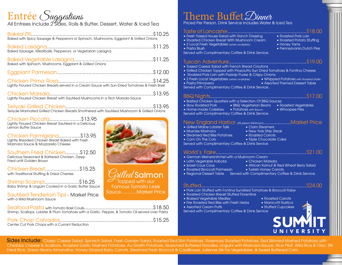# Entrée *Suggestions*<br>All Entress Include 25 Mars, Rolls & Butter, Dessert, Water & Iced Tea

| All Emrees include Z Sides, Rolls & Burfer, Desserf, Water & Iced Ted                         |  |
|-----------------------------------------------------------------------------------------------|--|
| Baked with Spicy Sausage & Pepperoni or Spinach, Mushrooms, Eggplant & Grilled Onions         |  |
|                                                                                               |  |
|                                                                                               |  |
|                                                                                               |  |
| Lightly Floured Chicken Breasts served in a Cream Sauce with Sun-Dried Tomatoes & Fresh Basil |  |
| Lightly Floured Chicken Breast with Sautéed Mushrooms in a Rich Marsala Sauce                 |  |
|                                                                                               |  |

Teriyaki Marinated Grilled Chicken Breasts Smothered with Sautéed Mushroom & Grilled Onions

Chicken Piccata......................\$13.95 Lightly Floured Chicken Breast Sautéed in a Delicious Lemon Butter Sauce

Chicken Parmigiana...............\$13.95 Lightly Breaded Chicken Breast Baked with Fresh Marinara Sauce & Mozzarella Cheese

Southern Fried Chicken..........\$12.50 Delicious Seasoned & Battered Chicken, Deep Fried until Golden Brown

Chicken Breast........................\$15.25 with Traditional Stuffing & Dried Cherries

Shrimp Scampi........................\$16.25 Baby Shrimp & Linguini Cooked in a Garlic Butter Sauce

Sautéed Tenderloin Tips - Market Price with a Wild Mushroom Sauce

Seafood Pasta with Tomato Basil Coulis................................................\$18.50 Shrimp, Scallops, Lobster & Plum Tomatoes with a Garlic, Pepper, & Tomato Oil served over Pasta

Pork Chop Calvados.................................................................\$15.25 Center Cut Pork Chops with a Currant Reduction

 $\mathit{Child}$ Salmon  $\sigma$ Topped with our Famous Tomato Leek Sauce............Market Price

# Theme Buffet Dinner

d Per Person. Drink Service Includes Water & Iced Tea

| • Fresh Tossed House Salad with Ranch Dressing<br>• Roasted Pork Loin<br>• Roasted Chicken Breast With Mushroom Cream<br>• Roasted Potato Stuffing<br>• 2 Local Fresh Vegetables (when available)<br>• Honey Yams<br>• Pennsylvania Dutch Pies<br>• Pasta Blush<br>Served with Complimentary Coffee & Drink Service.                                                                                     |
|----------------------------------------------------------------------------------------------------------------------------------------------------------------------------------------------------------------------------------------------------------------------------------------------------------------------------------------------------------------------------------------------------------|
| \$19.00<br>. Tossed Caesar Salad with French Bread Croutons<br>· Grilled Chicken Topped with Prosciutto Sun Dried Tomatoes & Fontina Cheese<br>• Roasted Pork Loin with Parsnip Puree & Crispy Onions<br>• 2 Fresh Local Vegetables (when available) • Whipped Potatoes with Roasted Garlic<br>• Assorted Themed Dessert Table<br>• Pasta Primavera<br>Served with Complimentary Coffee & Drink Service. |
| • Basted Chicken Quarters with a Selection Of BBQ Sauces<br>• Slow Roasted Pork • BBQ Vegetarian Beans • Roasted Vegetables<br>• Home-made Coleslaw • Potatoes with Bacon<br>• Whoopee Pies<br>Served with Complimentary Coffee & Drink Service.                                                                                                                                                         |
| New England Harbor (25 person Minimum)Market Price<br>· Grilled Maine Lobster Tails<br>• Clam Steamers<br>• Muscles Marinara<br>• New York Strip Steak<br>• Steamed Red Bliss Potatoes<br>• Roasted Carrots<br>• Corn On The Cob<br>· Triple Chocolate Cake<br>Served with Complimentary Coffee & Drink Service                                                                                          |
| \$21.00<br>World's Faire<br>• German Weinersnitchel with a Mushroom Cream<br><u> Tan</u><br>• Roasted Broccoli Parmesan<br>• Turkish Honey Carrots<br>· Regional Dessert Table Served with Complimentary Coffee & Drink Service.                                                                                                                                                                         |
| \$24.00<br>. Pork Loin Stuffed with Fontina Sundried Tomatoes & Broccoli Rabe<br>• Roasted Chicken Breast Stuffed Florentine<br>• Braised Vegetable Medley<br>• Roasted Carrots<br>• Fire Roasted Red Bliss with Fresh Herbs<br>· Manicotti Rustica<br>• Assorted Cream Puffs<br>• Stuffed Cupcakes<br>Served with Complimentary Coffee & Drink Service                                                  |

Sides Include: Classic Caesar Salad, Spinach Salad, Fresh Garden Salad, Roasted Red Skin Potatoes, Rosemary Roasted Potatoes, Red Skinned Mashed Potatoes with Cheddar Cheese & Scallions, Roasted Garlic Mashed Potatoes, Au Gratin Potatoes, Seasoned Buttered Noodles, Linguini with Marinara Sauce, Rice Pilaf, Wild Rice & Orzo, Stir Fried Rice, Green Beans Almandine, Honey-Glazed Baby Carrots, Steamed Fresh Broccoli & Cauliflower, Julienne Stir Fry Vegetables, & Sweet Buttered Corn.

SUIVVI UNIVERSITY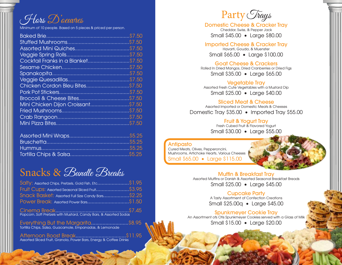Hors D'oeuvres

Minimum of 10 people. Based on 5 pieces & priced per person.

| Cocktail Franks in a Blanket\$7.50 |  |
|------------------------------------|--|
|                                    |  |
|                                    |  |
|                                    |  |
| Chicken Cordon Bleu Bites\$7.50    |  |
|                                    |  |
|                                    |  |
| Mini Chicken Dijon Croissant\$7.50 |  |
|                                    |  |
|                                    |  |
|                                    |  |
|                                    |  |

## Snacks & Bundle Breaks

| Salty: Assorted Chips, Pretzels, Gold Fish, Etc\$1.95             |  |
|-------------------------------------------------------------------|--|
| Fruit Cups: Assorted Seasonal Sliced Fruit\$3.95                  |  |
| Snack Basket: Assorted Full Size Candy Bars\$2.25                 |  |
|                                                                   |  |
| Popcorn, Soft Pretzels with Mustard, Candy Bars, & Assorted Sodas |  |

Everything But the Margarita..........................\$8.95 Tortilla Chips, Salsa, Guacamole, Empanadas, & Lemonade

Afternoon Boost Break...................................\$11.95 Assorted Sliced Fruit, Granola, Power Bars, Energy & Coffee Drinks



Domestic Cheese & Cracker Tray Cheddar, Swiss, & Pepper Jack Small \$45.00 • Large \$80.00

#### Imported Cheese & Cracker Tray Havarti, Gouda, & Muenster Small \$65.00 • Large \$100.00

Goat Cheese & Crackers Rolled In Dried Mangos, Dried Cranberries or Dried Figs Small \$35.00 • Large \$65.00

Vegetable Tray Assorted Fresh Cute Vegetables with a Mustard Dip Small \$25.00 • Large \$40.00

#### Sliced Meat & Cheese

Assorted Imported or Domestic Meats & Cheeses Domestic Tray \$35.00 • Imported Tray \$55.00

> Fruit & Yogurt Tray Fresh Cubed Fruit & Flavored Yogurt

Small \$30.00 • Large \$55.00

#### Antipasto

Cured Meats, Olives, Pepperoncini, Mushrooms, Artichoke Hearts, Various Cheeses Small \$65.00 • Large \$115.00

> Muffin & Breakfast Tray Assorted Muffins or Danish & Assorted Seasonal Breakfast Breads Small \$25.00 • Large \$45.00

#### Cupcake Party

A Tasty Assortment of Confection Creations Small \$25.00q • Large \$45.00

Spunkmeyer Cookie Tray An Assortment ofs Otis Spunkmeyer Cookies served with a Glass of Milk Small \$15.00 • Large \$20.00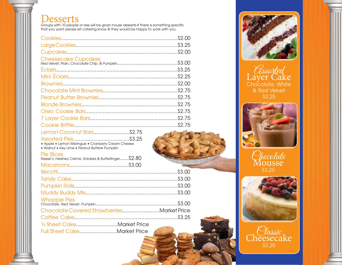**Desserts**<br>Groups with 10 people or less will be given house desserts-if there is something specific that you want please let catering know & they would be happy to work with you.

| <b>Cheesecake Cupcakes</b>                            |  |
|-------------------------------------------------------|--|
|                                                       |  |
|                                                       |  |
|                                                       |  |
|                                                       |  |
|                                                       |  |
|                                                       |  |
|                                                       |  |
|                                                       |  |
|                                                       |  |
|                                                       |  |
| Lemon Coconut Bars\$2.75                              |  |
| • Apple • Lemon Meringue • Cranberry Cream Cheese     |  |
| · Walnut • Key Lime • Peanut Butter• Pumpkin          |  |
| <b>Pie Slices</b>                                     |  |
| Reese's, Hershey Crème, Snickers & Butterfinger\$2.80 |  |
|                                                       |  |
|                                                       |  |
|                                                       |  |
|                                                       |  |
|                                                       |  |
| <b>Whoppie Pies</b>                                   |  |
|                                                       |  |
| Chocolate Covered StrawberriesMarket Price            |  |
|                                                       |  |
| 1/2 Sheet CakeMarket Price                            |  |
| Full Sheet CakeMarket Price                           |  |



*Assorted*<br>Layer Cake Chocolate, White & Red Velvet \$3.25







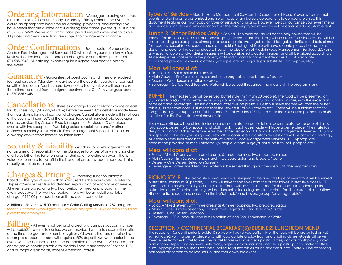## Ordering Information - We suggest placing your order

a minimum of seven business days (Monday - Friday) prior to the event to assure an appropriate lead time for ordering, preparing, and staffing If you have needs that are outside of our ordering time frame, please give us a call at 570-585-9348. We will accommodate special requests whenever possible. All prices and menu selections are subject to change without notice.

## Order Confirmations - Upon receipt of your order,

Aladdin Food Management Services, LLC will confirm your selection via fax. Review the confirmation. If there are changes or corrections, please call 570-585-9348. All catering events require a signed confirmation before the event.

Guarantee - Guarantees of guest counts and times are required four business days (Monday - Friday) before the event. If you do not contact us with a final count four business days prior to the event, we will prepare for the estimated count from the signed confirmation. Confirm your guest counts at 570-585-9348.

Cancellations - There is no charge for cancellations made at least four business days (Monday - Friday) before the event. Cancellations made fewer than four days prior may incur partial charges. Cancellations made within 48 hours of the event will incur 100% of the charges. Food and nonalcoholic beverages must be provided by Aladdin Food Management Services, LLC at catered events, with the exception of wedding cakes, special mints and/or other approved specialty items. Aladdin Food Management Services, LLC does not allow any leftover food items to be taken home.

## Security & Liability Aladdin Food Management will

not assume any responsibility for the damages to or loss of any merchandise or articles left at the function prior to, during, or following an event. If any valuable items are to be left in the banquet area, it is recommended that a security patrol be retained.

# Charges & Pricing - All catering function pricing is<br>based on the type of service that is required for the event (please refer to

"Types of Service" section for detailed explanation of each type of service). All events are based on a two hour period for meal and program. If the event goes over the two hour period, there will be an additional labor charge of \$15.00 per labor hour until the event concludes.

Additional Servers - \$15.00 per hour • Cake Cutting Services - 75¢ per guest Service is entered without gratuity. However, any gratuity is welcome & should be given to the employees.

 $\text{Billing}$  - All events not being charged to a campus account number will be subject to sales tax unless we are provided with a tax exemption letter at the time the guarantee number is given. All events that are not billed to a campus account number will require a 50% deposit two weeks prior to the event with the balance due at the completion of the event. We accept cash, check (make checks payable to Aladdin Food Management Services, LLC) and all major credit cards, except American Express.

Types of Service - Aladdin Food Management Services, LLC executes all types of events from formal events for dignitaries to customized surprise birthday or anniversary celebrations to company picnics. This document features our most popular types of service and pricing. However, we can customize your event menu and service upon request. Any deviation from the following types of service will be considered a custom event.

Lunch & Dinner Entrées Only - Served - The main course will be the only course that will be served. The first course, dessert, and beverages (iced water and iced tea) will be preset.The place setting will be china including a salad plate, dinner plate, dessert plate, water goblet, iced tea goblet, knife, salad fork, dinner fork, spoon, dessert fork or spoon, and cloth napkin. Each guest table will have a centerpiece (the materials, design, and color of the center piece will be at the discretion of Aladdin Food Management Services, LLC) and any specific colors and/or design requests will be considered a custom request and will be priced accordingly. All centerpieces shall remain the property of Aladdin Food Management Services, LLC. Appropriate condiments provided as menu dictates. (example: cream, sugar/sugar substitute, salt, pepper, etc.)

## Meal will consist of: • First Course – Salad selection (preset).

- 
- Main Course Entrée selection, a starch, one vegetable, and bread w/ butter.
- Dessert One dessert selection (preset).
- Beverage Coffee, Iced Tea, and Water will be served throughout the meal until the program starts.

BUFFET - The meal service will be served buffet style (minimum 20 people). The food will be presented on (a) skirted table(s) with a centerpiece using appropriate display trays and chafing dishes, with the exception of dessert and beverages. Dessert and Iced Water will be preset. Guests will serve themselves from the buffet table(s). Buffet style does NOT mean that the service is "all you care to eat". There will be sufficient food for the guests to go through the buffet line once. Buffet will close 15 minute after the last person go through or 45 minute after the Event starts whichever is first.

The place settings will be china, including a dinner plate (on buffet table), dessert plate, water goblet, knife, fork, spoon, dessert fork or spoon, and cloth napkin. Each guest table will have a centerpiece (the materials, design, and color of the centerpiece will be at the discretion of Aladdin Food Management Services, LLC) and any specific colors and/or design requests will be considered a custom request and will be priced accordingly. All centerpieces shall remain the property of Aladdin Food Management Services, LLC. Appropriate condiments provided as menu dictates. (example: cream, sugar/sugar substitute, salt, pepper, etc.)

- Meal will consist of: Salad Mixed Greens with three dressings & three toppings, two prepared salads.
- Main Course Entrée selection, a starch, two vegetables, and bread w/ butter.
- Dessert One Dessert Selection (preset).
- Beverage Coffee, Iced Tea, and Water will be served throughout the meal until the program starts.

PICNIC STYLE - The picnic style meal service is designed to be a no-frills type of event that will be served buffet style (minimum 20 people). Guests will serve themselves from the buffet tables. Buffet style does NOT mean that the service is "all you care to eat". There will be sufficient food for the guests to go through the buffet line once. The place settings will be disposable including am dinner plate (on the buffet table), cutlery kit (fork, knife, spoon, and napkin on the buffet table) and beverage cup (beverage table).

- Meal will consist of: Salad Mixed Greens with three dressings & three toppings, two prepared salads.
- Main Course Entrée selection, a starch, two vegetables, and bread w/ butter.
- Dessert One Dessert Selection.
- Beverage 10 ounces divided in a selection of Iced Tea, Lemonade, or Water.

#### RECEPTION / CONTINENTAL BREAKFAST(S)/BUSINESS LUNCHEON MENU

The reception (or continental breakfast) service will be served buffet style. The food will be presented on (a) skirted table(s) with a center piece and with appropriate display trays and chafing dishes. Guests will serve themselves from the buffet tables. The buffet tables will have clear plastic plates, cocktail toothpicks (and/or plastic forks, depending on menu selection), paper cocktail napkins and clear plastic punch and/or coffee cups. Appropriate table linens can be supplied for guest tables for an additional cost. There will be no serving personnel other than to deliver, set up, and tear down the event.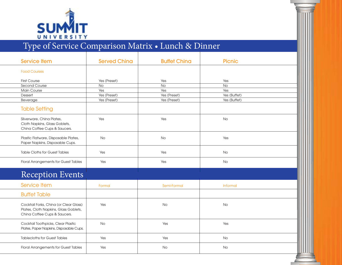

# Type of Service Comparison Matrix • Lunch & Dinner

| <b>Service Item</b>                                                                                             | <b>Served Ching</b> | <b>Buffet Ching</b> | <b>Picnic</b>   |  |
|-----------------------------------------------------------------------------------------------------------------|---------------------|---------------------|-----------------|--|
| <b>Food Courses</b>                                                                                             |                     |                     |                 |  |
| <b>First Course</b>                                                                                             | Yes (Preset)        | Yes                 | Yes             |  |
| Second Course                                                                                                   | No                  | $\overline{No}$     | $\overline{No}$ |  |
| Main Course                                                                                                     | Yes                 | Yes                 | Yes             |  |
| Dessert                                                                                                         | Yes (Preset)        | Yes (Preset)        | Yes (Buffet)    |  |
| Beverage                                                                                                        | Yes (Preset)        | Yes (Preset)        | Yes (Buffet)    |  |
| <b>Table Setting</b>                                                                                            |                     |                     |                 |  |
| Silverware, China Plates,<br>Cloth Napkins, Glass Goblets,<br>China Coffee Cups & Saucers.                      | Yes                 | Yes                 | <b>No</b>       |  |
| Plastic Flatware, Disposable Plates,<br>Paper Napkins, Disposable Cups.                                         | <b>No</b>           | <b>No</b>           | Yes             |  |
| <b>Table Cloths for Guest Tables</b>                                                                            | Yes                 | Yes                 | <b>No</b>       |  |
| Floral Arrangements for Guest Tables                                                                            | Yes                 | Yes                 | No              |  |
| <b>Reception Events</b>                                                                                         |                     |                     |                 |  |
| <b>Service Item</b>                                                                                             | Formal              | Semi-Formal         | Informal        |  |
| <b>Buffet Table</b>                                                                                             |                     |                     |                 |  |
| Cocktail Forks, China (or Clear Glass)<br>Plates, Cloth Napkins, Glass Goblets,<br>China Coffee Cups & Saucers. | Yes                 | <b>No</b>           | <b>No</b>       |  |
| Cocktail Toothpicks, Clear Plastic<br>Plates, Paper Napkins, Disposable Cups.                                   | <b>No</b>           | Yes                 | Yes             |  |
| <b>Tablecloths for Guest Tables</b>                                                                             | Yes                 | Yes                 | No              |  |
| Floral Arrangements for Guest Tables                                                                            | Yes                 | No                  | <b>No</b>       |  |
|                                                                                                                 |                     |                     |                 |  |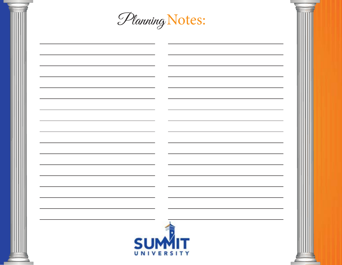| Planning Notes: |  |
|-----------------|--|
|                 |  |
|                 |  |
|                 |  |
|                 |  |
|                 |  |
|                 |  |
| <b>SUMIT</b>    |  |